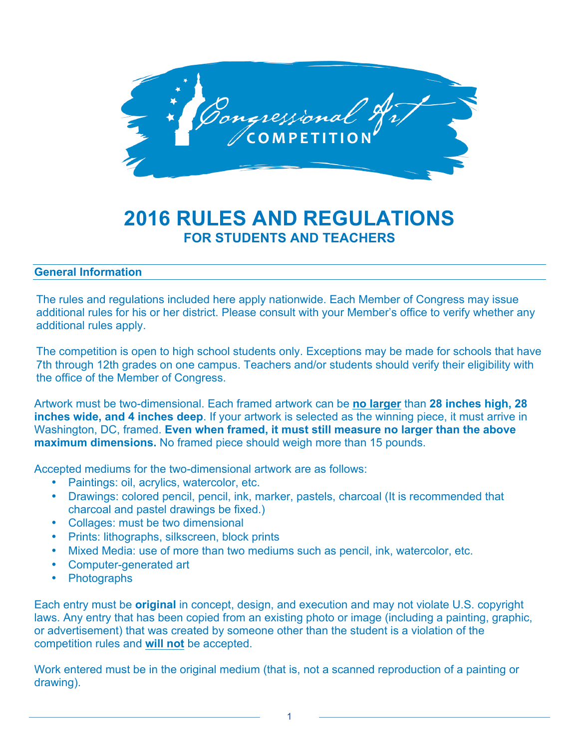

# **2016 RULES AND REGULATIONS FOR STUDENTS AND TEACHERS**

## **General Information**

The rules and regulations included here apply nationwide. Each Member of Congress may issue additional rules for his or her district. Please consult with your Member's office to verify whether any additional rules apply.

The competition is open to high school students only. Exceptions may be made for schools that have 7th through 12th grades on one campus. Teachers and/or students should verify their eligibility with the office of the Member of Congress.

Artwork must be two-dimensional. Each framed artwork can be **no larger** than **28 inches high, 28 inches wide, and 4 inches deep**. If your artwork is selected as the winning piece, it must arrive in Washington, DC, framed. **Even when framed, it must still measure no larger than the above maximum dimensions.** No framed piece should weigh more than 15 pounds.

Accepted mediums for the two-dimensional artwork are as follows:

- Paintings: oil, acrylics, watercolor, etc.
- Drawings: colored pencil, pencil, ink, marker, pastels, charcoal (It is recommended that charcoal and pastel drawings be fixed.)
- Collages: must be two dimensional
- Prints: lithographs, silkscreen, block prints
- Mixed Media: use of more than two mediums such as pencil, ink, watercolor, etc.
- Computer-generated art
- Photographs

Each entry must be **original** in concept, design, and execution and may not violate U.S. copyright laws. Any entry that has been copied from an existing photo or image (including a painting, graphic, or advertisement) that was created by someone other than the student is a violation of the competition rules and **will not** be accepted.

Work entered must be in the original medium (that is, not a scanned reproduction of a painting or drawing).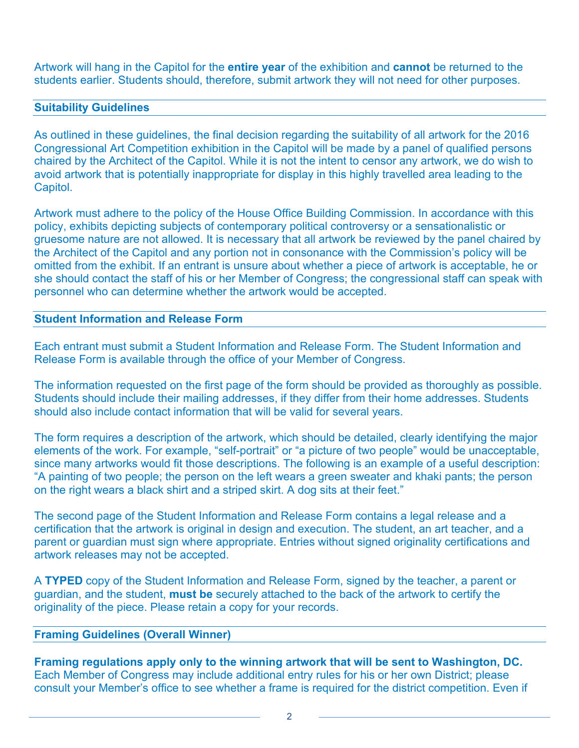Artwork will hang in the Capitol for the **entire year** of the exhibition and **cannot** be returned to the students earlier. Students should, therefore, submit artwork they will not need for other purposes.

#### **Suitability Guidelines**

As outlined in these guidelines, the final decision regarding the suitability of all artwork for the 2016 Congressional Art Competition exhibition in the Capitol will be made by a panel of qualified persons chaired by the Architect of the Capitol. While it is not the intent to censor any artwork, we do wish to avoid artwork that is potentially inappropriate for display in this highly travelled area leading to the Capitol.

Artwork must adhere to the policy of the House Office Building Commission. In accordance with this policy, exhibits depicting subjects of contemporary political controversy or a sensationalistic or gruesome nature are not allowed. It is necessary that all artwork be reviewed by the panel chaired by the Architect of the Capitol and any portion not in consonance with the Commission's policy will be omitted from the exhibit. If an entrant is unsure about whether a piece of artwork is acceptable, he or she should contact the staff of his or her Member of Congress; the congressional staff can speak with personnel who can determine whether the artwork would be accepted.

## **Student Information and Release Form**

Each entrant must submit a Student Information and Release Form. The Student Information and Release Form is available through the office of your Member of Congress.

The information requested on the first page of the form should be provided as thoroughly as possible. Students should include their mailing addresses, if they differ from their home addresses. Students should also include contact information that will be valid for several years.

The form requires a description of the artwork, which should be detailed, clearly identifying the major elements of the work. For example, "self-portrait" or "a picture of two people" would be unacceptable, since many artworks would fit those descriptions. The following is an example of a useful description: "A painting of two people; the person on the left wears a green sweater and khaki pants; the person on the right wears a black shirt and a striped skirt. A dog sits at their feet."

The second page of the Student Information and Release Form contains a legal release and a certification that the artwork is original in design and execution. The student, an art teacher, and a parent or guardian must sign where appropriate. Entries without signed originality certifications and artwork releases may not be accepted.

A **TYPED** copy of the Student Information and Release Form, signed by the teacher, a parent or guardian, and the student, **must be** securely attached to the back of the artwork to certify the originality of the piece. Please retain a copy for your records.

# **Framing Guidelines (Overall Winner)**

**Framing regulations apply only to the winning artwork that will be sent to Washington, DC.**  Each Member of Congress may include additional entry rules for his or her own District; please consult your Member's office to see whether a frame is required for the district competition. Even if